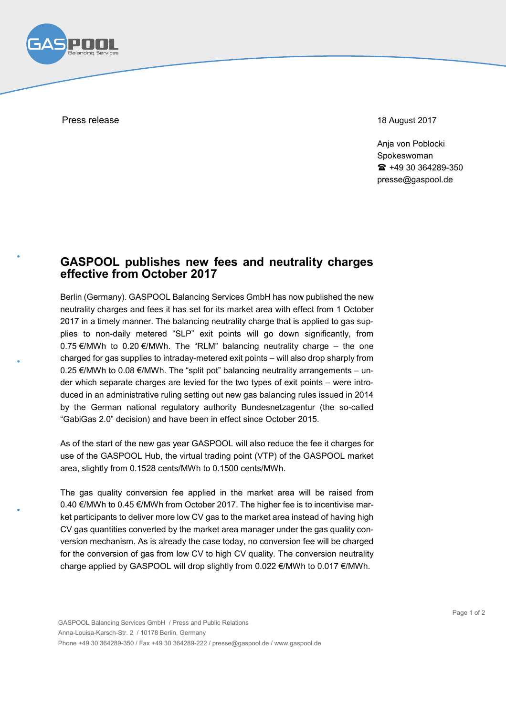

Anja von Poblocki Spokeswoman ■ +49 30 364289-350 presse@gaspool.de

## **GASPOOL publishes new fees and neutrality charges effective from October 2017**

Berlin (Germany). GASPOOL Balancing Services GmbH has now published the new neutrality charges and fees it has set for its market area with effect from 1 October 2017 in a timely manner. The balancing neutrality charge that is applied to gas supplies to non-daily metered "SLP" exit points will go down significantly, from 0.75 €/MWh to 0.20 €/MWh. The "RLM" balancing neutrality charge – the one charged for gas supplies to intraday-metered exit points – will also drop sharply from 0.25 €/MWh to 0.08 €/MWh. The "split pot" balancing neutrality arrangements – under which separate charges are levied for the two types of exit points – were introduced in an administrative ruling setting out new gas balancing rules issued in 2014 by the German national regulatory authority Bundesnetzagentur (the so-called "GabiGas 2.0" decision) and have been in effect since October 2015.

As of the start of the new gas year GASPOOL will also reduce the fee it charges for use of the GASPOOL Hub, the virtual trading point (VTP) of the GASPOOL market area, slightly from 0.1528 cents/MWh to 0.1500 cents/MWh.

The gas quality conversion fee applied in the market area will be raised from 0.40 €/MWh to 0.45 €/MWh from October 2017. The higher fee is to incentivise market participants to deliver more low CV gas to the market area instead of having high CV gas quantities converted by the market area manager under the gas quality conversion mechanism. As is already the case today, no conversion fee will be charged for the conversion of gas from low CV to high CV quality. The conversion neutrality charge applied by GASPOOL will drop slightly from 0.022 €/MWh to 0.017 €/MWh.